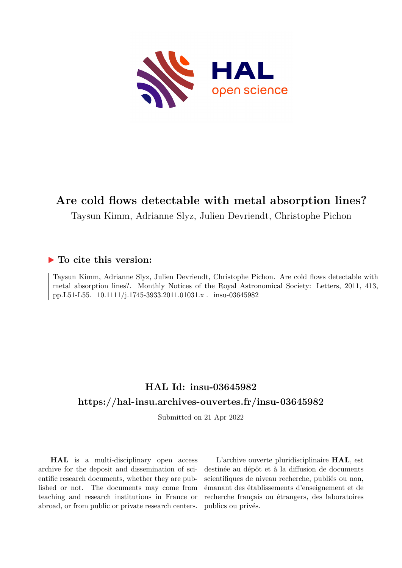

# **Are cold flows detectable with metal absorption lines?**

Taysun Kimm, Adrianne Slyz, Julien Devriendt, Christophe Pichon

### **To cite this version:**

Taysun Kimm, Adrianne Slyz, Julien Devriendt, Christophe Pichon. Are cold flows detectable with metal absorption lines?. Monthly Notices of the Royal Astronomical Society: Letters, 2011, 413, pp.L51-L55. 10.1111/j.1745-3933.2011.01031.x. insu-03645982

## **HAL Id: insu-03645982 <https://hal-insu.archives-ouvertes.fr/insu-03645982>**

Submitted on 21 Apr 2022

**HAL** is a multi-disciplinary open access archive for the deposit and dissemination of scientific research documents, whether they are published or not. The documents may come from teaching and research institutions in France or abroad, or from public or private research centers.

L'archive ouverte pluridisciplinaire **HAL**, est destinée au dépôt et à la diffusion de documents scientifiques de niveau recherche, publiés ou non, émanant des établissements d'enseignement et de recherche français ou étrangers, des laboratoires publics ou privés.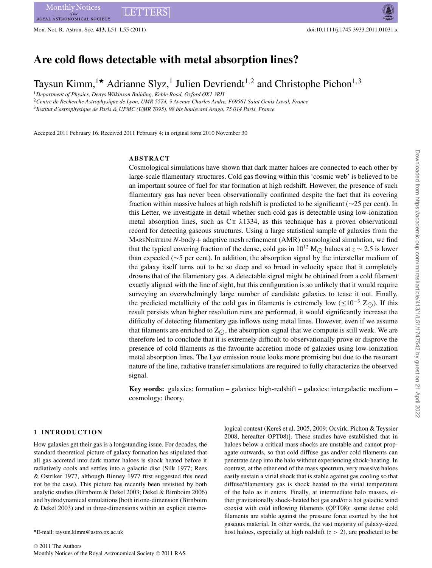## **Are cold flows detectable with metal absorption lines?**

Taysun Kimm,<sup>1\*</sup> Adrianne Slyz,<sup>1</sup> Julien Devriendt<sup>1,2</sup> and Christophe Pichon<sup>1,3</sup>

<sup>1</sup>*Department of Physics, Denys Wilkinson Building, Keble Road, Oxford OX1 3RH*

<sup>2</sup>*Centre de Recherche Astrophysique de Lyon, UMR 5574, 9 Avenue Charles Andre, F69561 Saint Genis Laval, France*

<sup>3</sup>*Institut d'astrophysique de Paris & UPMC (UMR 7095), 98 bis boulevard Arago, 75 014 Paris, France*

Accepted 2011 February 16. Received 2011 February 4; in original form 2010 November 30

#### **ABSTRACT**

Cosmological simulations have shown that dark matter haloes are connected to each other by large-scale filamentary structures. Cold gas flowing within this 'cosmic web' is believed to be an important source of fuel for star formation at high redshift. However, the presence of such filamentary gas has never been observationally confirmed despite the fact that its covering fraction within massive haloes at high redshift is predicted to be significant (∼25 per cent). In this Letter, we investigate in detail whether such cold gas is detectable using low-ionization metal absorption lines, such as  $C \text{II} \lambda 1334$ , as this technique has a proven observational record for detecting gaseous structures. Using a large statistical sample of galaxies from the MARENOSTRUM *N*-body+ adaptive mesh refinement (AMR) cosmological simulation, we find that the typical covering fraction of the dense, cold gas in 10<sup>12</sup> M<sub> $\odot$ </sub> haloes at *z* ~ 2.5 is lower than expected (∼5 per cent). In addition, the absorption signal by the interstellar medium of the galaxy itself turns out to be so deep and so broad in velocity space that it completely drowns that of the filamentary gas. A detectable signal might be obtained from a cold filament exactly aligned with the line of sight, but this configuration is so unlikely that it would require surveying an overwhelmingly large number of candidate galaxies to tease it out. Finally, the predicted metallicity of the cold gas in filaments is extremely low ( $\leq 10^{-3}$  Z<sub>O</sub>). If this result persists when higher resolution runs are performed, it would significantly increase the difficulty of detecting filamentary gas inflows using metal lines. However, even if we assume that filaments are enriched to  $Z_{\bigcirc}$ , the absorption signal that we compute is still weak. We are therefore led to conclude that it is extremely difficult to observationally prove or disprove the presence of cold filaments as the favourite accretion mode of galaxies using low-ionization metal absorption lines. The  $Ly\alpha$  emission route looks more promising but due to the resonant nature of the line, radiative transfer simulations are required to fully characterize the observed signal.

**Key words:** galaxies: formation – galaxies: high-redshift – galaxies: intergalactic medium – cosmology: theory.

#### **1 INTRODUCTION**

How galaxies get their gas is a longstanding issue. For decades, the standard theoretical picture of galaxy formation has stipulated that all gas accreted into dark matter haloes is shock heated before it radiatively cools and settles into a galactic disc (Silk 1977; Rees & Ostriker 1977, although Binney 1977 first suggested this need not be the case). This picture has recently been revisited by both analytic studies (Birnboim & Dekel 2003; Dekel & Birnboim 2006) and hydrodynamical simulations [both in one-dimension (Birnboim & Dekel 2003) and in three-dimensions within an explicit cosmo-

logical context (Kereš et al. 2005, 2009; Ocvirk, Pichon & Teyssier 2008, hereafter OPT08)]. These studies have established that in haloes below a critical mass shocks are unstable and cannot propagate outwards, so that cold diffuse gas and/or cold filaments can penetrate deep into the halo without experiencing shock-heating. In contrast, at the other end of the mass spectrum, very massive haloes easily sustain a virial shock that is stable against gas cooling so that diffuse/filamentary gas is shock heated to the virial temperature of the halo as it enters. Finally, at intermediate halo masses, either gravitationally shock-heated hot gas and/or a hot galactic wind coexist with cold inflowing filaments (OPT08): some dense cold filaments are stable against the pressure force exerted by the hot gaseous material. In other words, the vast majority of galaxy-sized host haloes, especially at high redshift  $(z > 2)$ , are predicted to be

<sup>-</sup>E-mail: taysun.kimm@astro.ox.ac.uk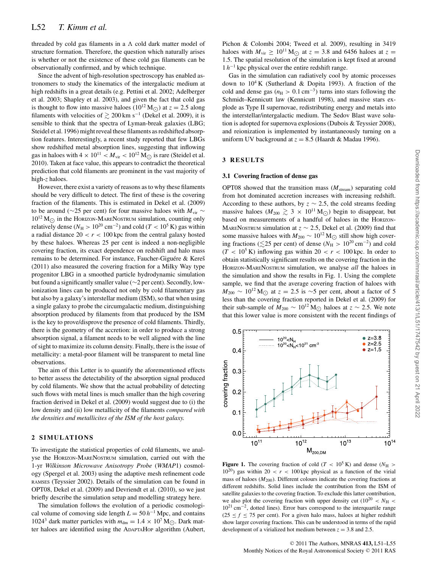threaded by cold gas filaments in a  $\Lambda$  cold dark matter model of structure formation. Therefore, the question which naturally arises is whether or not the existence of these cold gas filaments can be observationally confirmed, and by which technique.

Since the advent of high-resolution spectroscopy has enabled astronomers to study the kinematics of the intergalactic medium at high redshifts in a great details (e.g. Pettini et al. 2002; Adelberger et al. 2003; Shapley et al. 2003), and given the fact that cold gas is thought to flow into massive haloes ( $10^{12}$  M<sub> $\odot$ </sub>) at  $z = 2.5$  along filaments with velocities of  $\gtrsim 200 \,\mathrm{km \ s^{-1}}$  (Dekel et al. 2009), it is sensible to think that the spectra of Lyman-break galaxies (LBG; Steidel et al. 1996) might reveal these filaments as redshifted absorption features. Interestingly, a recent study reported that few LBGs show redshifted metal absorption lines, suggesting that inflowing gas in haloes with  $4 \times 10^{11} < M_{\rm vir} < 10^{12}$  M<sub> $\odot$ </sub> is rare (Steidel et al. 2010). Taken at face value, this appears to contradict the theoretical prediction that cold filaments are prominent in the vast majority of high-*z* haloes.

However, there exist a variety of reasons as to why these filaments should be very difficult to detect. The first of these is the covering fraction of the filaments. This is estimated in Dekel et al. (2009) to be around (∼25 per cent) for four massive haloes with *M*vir ∼  $10^{12}$  M<sub> $\odot$ </sub> in the HORIZON-MARENOSTRUM simulation, counting only relatively dense ( $N_{\rm H}$  > 10<sup>20</sup> cm<sup>-2</sup>) and cold ( $T$  < 10<sup>5</sup> K) gas within a radial distance  $20 < r < 100$  kpc from the central galaxy hosted by these haloes. Whereas 25 per cent is indeed a non-negligible covering fraction, its exact dependence on redshift and halo mass remains to be determined. For instance, Faucher-Giguére & Kereš (2011) also measured the covering fraction for a Milky Way type progenitor LBG in a smoothed particle hydrodynamic simulation but found a significantly smaller value (∼2 per cent). Secondly, lowionization lines can be produced not only by cold filamentary gas but also by a galaxy's interstellar medium (ISM), so that when using a single galaxy to probe the circumgalactic medium, distinguishing absorption produced by filaments from that produced by the ISM is the key to prove/disprove the presence of cold filaments. Thirdly, there is the geometry of the accretion: in order to produce a strong absorption signal, a filament needs to be well aligned with the line of sight to maximize its column density. Finally, there is the issue of metallicity: a metal-poor filament will be transparent to metal line observations.

The aim of this Letter is to quantify the aforementioned effects to better assess the detectability of the absorption signal produced by cold filaments. We show that the actual probability of detecting such flows with metal lines is much smaller than the high covering fraction derived in Dekel et al. (2009) would suggest due to (i) the low density and (ii) low metallicity of the filaments *compared with the densities and metallicites of the ISM of the host galaxy.*

#### **2 SIMULATIONS**

To investigate the statistical properties of cold filaments, we analyse the HORIZON-MARENOSTRUM simulation, carried out with the 1-yr *Wilkinson Microwave Anisotropy Probe* (*WMAP*1) cosmology (Spergel et al. 2003) using the adaptive mesh refinement code RAMSES (Teyssier 2002). Details of the simulation can be found in OPT08, Dekel et al. (2009) and Devriendt et al. (2010), so we just briefly describe the simulation setup and modelling strategy here.

The simulation follows the evolution of a periodic cosmological volume of comoving side length  $L = 50 h^{-1}$  Mpc, and contains 1024<sup>3</sup> dark matter particles with  $m_{dm} = 1.4 \times 10^7$  M<sub>( $\odot$ </sub>). Dark matter haloes are identified using the ADAPTAHOP algorithm (Aubert,

Pichon & Colombi 2004; Tweed et al. 2009), resulting in 3419 haloes with  $M_{\text{vir}} \ge 10^{11} \text{ M}_{\odot}$  at  $z = 3.8$  and 6456 haloes at  $z =$ 1.5. The spatial resolution of the simulation is kept fixed at around 1 *h*−<sup>1</sup> kpc physical over the entire redshift range.

Gas in the simulation can radiatively cool by atomic processes down to  $10^4$  K (Sutherland & Dopita 1993). A fraction of the cold and dense gas ( $n<sub>H</sub> > 0.1$  cm<sup>-3</sup>) turns into stars following the Schmidt–Kennicutt law (Kennicutt 1998), and massive stars explode as Type II supernovae, redistributing energy and metals into the interstellar/intergalactic medium. The Sedov Blast wave solution is adopted for supernova explosions (Dubois & Teyssier 2008), and reionization is implemented by instantaneously turning on a uniform UV background at  $z = 8.5$  (Haardt & Madau 1996).

#### **3 RESULTS**

#### **3.1 Covering fraction of dense gas**

OPT08 showed that the transition mass  $(M<sub>stream</sub>)$  separating cold from hot dominated accretion increases with increasing redshift. According to these authors, by  $z \sim 2.5$ , the cold streams feeding massive haloes  $(M_{200} \gtrsim 3 \times 10^{11} \,\mathrm{M_{\odot}})$  begin to disappear, but based on measurements of a handful of haloes in the HORIZON-MARENOSTRUM simulation at  $z \sim 2.5$ , Dekel et al. (2009) find that some massive haloes with  $M_{200} \sim 10^{12} \,\mathrm{M}_{\odot}$  still show high covering fractions ( $\lesssim$ 25 per cent) of dense ( $N_{\rm H}$  > 10<sup>20</sup> cm<sup>−2</sup>) and cold  $(T < 10^5 \text{ K})$  inflowing gas within  $20 < r < 100 \text{ kpc}$ . In order to obtain statistically significant results on the covering fraction in the HORIZON-MARENOSTRUM simulation, we analyse *all* the haloes in the simulation and show the results in Fig. 1. Using the complete sample, we find that the average covering fraction of haloes with  $M_{200} \sim 10^{12}$  M<sub>○</sub> at  $z = 2.5$  is ~5 per cent, about a factor of 5 less than the covering fraction reported in Dekel et al. (2009) for their sub-sample of  $M_{200}$  ~ 10<sup>12</sup> M<sub>○</sub> haloes at  $z \sim 2.5$ . We note that this lower value is more consistent with the recent findings of



**Figure 1.** The covering fraction of cold ( $T < 10^5$  K) and dense ( $N_H$ )  $10^{20}$ ) gas within  $20 < r < 100$  kpc physical as a function of the virial mass of haloes  $(M_{200})$ . Different colours indicate the covering fractions at different redshifts. Solid lines include the contribution from the ISM of satellite galaxies to the covering fraction. To exclude this latter contribution, we also plot the covering fraction with upper density cut ( $10^{20} < N_{\rm H} <$  $10^{21}$  cm<sup>-2</sup>, dotted lines). Error bars correspond to the interquartile range  $(25 \le f \le 75$  per cent). For a given halo mass, haloes at higher redshift show larger covering fractions. This can be understood in terms of the rapid development of a virialized hot medium between  $z = 3.8$  and 2.5.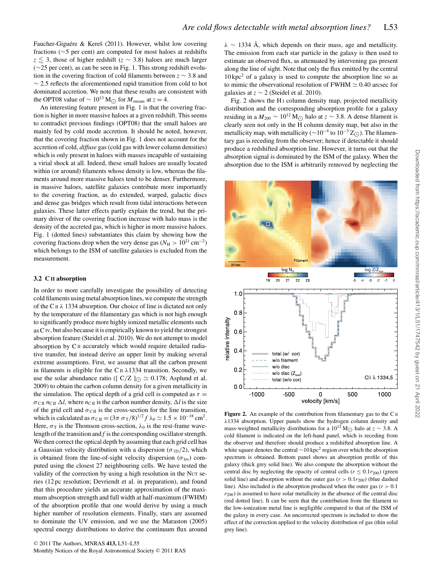Faucher-Giguére & Kereš (2011). However, whilst low covering fractions (∼5 per cent) are computed for most haloes at redshifts *z*  $\le$  3, those of higher redshift (*z* ∼ 3.8) haloes are much larger (∼25 per cent), as can be seen in Fig. 1. This strong redshift evolution in the covering fraction of cold filaments between *z* ∼ 3.8 and ∼ 2.5 reflects the aforementioned rapid transition from cold to hot dominated accretion. We note that these results are consistent with the OPT08 value of  $\sim 10^{13}$  M<sub>○</sub> for *M*<sub>stream</sub> at  $z = 4$ .

An interesting feature present in Fig. 1 is that the covering fraction is higher in more massive haloes at a given redshift. This seems to contradict previous findings (OPT08) that the small haloes are mainly fed by cold mode accretion. It should be noted, however, that the covering fraction shown in Fig. 1 does not account for the accretion of cold, *diffuse* gas (cold gas with lower column densities) which is only present in haloes with masses incapable of sustaining a virial shock at all. Indeed, these small haloes are usually located within (or around) filaments whose density is low, whereas the filaments around more massive haloes tend to be denser. Furthermore, in massive haloes, satellite galaxies contribute more importantly to the covering fraction, as do extended, warped, galactic discs and dense gas bridges which result from tidal interactions between galaxies. These latter effects partly explain the trend, but the primary driver of the covering fraction increase with halo mass is the density of the accreted gas, which is higher in more massive haloes. Fig. 1 (dotted lines) substantiates this claim by showing how the covering fractions drop when the very dense gas ( $N_H > 10^{21}$  cm<sup>-2</sup>) which belongs to the ISM of satellite galaxies is excluded from the measurement.

#### **3.2 C II absorption**

In order to more carefully investigate the possibility of detecting cold filaments using metal absorption lines, we compute the strength of the C<sub>II</sub> $\lambda$  1334 absorption. Our choice of line is dictated not only by the temperature of the filamentary gas which is not high enough to significantly produce more highly ionized metallic elements such as CIV, but also because it is empirically known to yield the strongest absorption feature (Steidel et al. 2010). We do not attempt to model absorption by  $C$ II accurately which would require detailed radiative transfer, but instead derive an upper limit by making several extreme assumptions. First, we assume that all the carbon present in filaments is eligible for the C $\scriptstyle\rm II$   $\lambda$ 1334 transition. Secondly, we use the solar abundance ratio ([ C/Z ] $\odot \simeq 0.178$ ; Asplund et al. 2009) to obtain the carbon column density for a given metallicity in the simulation. The optical depth of a grid cell is computed as  $\tau =$  $\sigma$ <sub>CII</sub> *n*<sub>CII</sub>  $\Delta l$ , where *n*<sub>CII</sub> is the carbon number density,  $\Delta l$  is the size of the grid cell and  $\sigma$ <sub>CII</sub> is the cross-section for the line transition, which is calculated as  $\sigma_{\text{CH}} = (3\pi \sigma_{\text{T}}/8)^{1/2} f \lambda_0 \simeq 1.5 \times 10^{-18} \text{ cm}^2$ . Here,  $\sigma_{\rm T}$  is the Thomson cross-section,  $\lambda_0$  is the rest-frame wavelength of the transition and *f* is the corresponding oscillator strength. We then correct the optical depth by assuming that each grid cell has a Gaussian velocity distribution with a dispersion ( $\sigma_{1D}/2$ ), which is obtained from the line-of-sight velocity dispersion ( $\sigma_{los}$ ) computed using the closest 27 neighbouring cells. We have tested the validity of the correction by using a high resolution in the NUT series (12 pc resolution; Devriendt et al. in preparation), and found that this procedure yields an accurate approximation of the maximum absorption strength and full width at half-maximum (FWHM) of the absorption profile that one would derive by using a much higher number of resolution elements. Finally, stars are assumed to dominate the UV emission, and we use the Maraston (2005) spectral energy distributions to derive the continuum flux around  $\lambda \sim 1334$  Å, which depends on their mass, age and metallicity. The emission from each star particle in the galaxy is then used to estimate an observed flux, as attenuated by intervening gas present along the line of sight. Note that only the flux emitted by the central  $10 \text{ kpc}^2$  of a galaxy is used to compute the absorption line so as to mimic the observational resolution of FWHM  $\simeq 0.40$  arcsec for galaxies at  $z \sim 2$  (Steidel et al. 2010).

Fig. 2 shows the H<sub>I</sub> column density map, projected metallicity distribution and the corresponding absorption profile for a galaxy residing in a  $M_{200} \sim 10^{12} \,\text{M}_\odot$  halo at  $z \sim 3.8$ . A dense filament is clearly seen not only in the H column density map, but also in the metallicity map, with metallicity ( $\sim$ 10<sup>-4</sup> to 10<sup>-3</sup> Z<sub>∩</sub>). The filamentary gas is receding from the observer; hence if detectable it should produce a redshifted absorption line. However, it turns out that the absorption signal is dominated by the ISM of the galaxy. When the absorption due to the ISM is arbitrarily removed by neglecting the



Figure 2. An example of the contribution from filamentary gas to the C<sub>II</sub> λ1334 absorption. Upper panels show the hydrogen column density and mass-weighted metallicity distributions for a 10<sup>12</sup> M<sub> $\odot$ </sub> halo at  $z \sim 3.8$ . A cold filament is indicated on the left-hand panel, which is receding from the observer and therefore should produce a redshifted absorption line. A white square denotes the central  $\sim$ 10 kpc<sup>2</sup> region over which the absorption spectrum is obtained. Bottom panel shows an absorption profile of this galaxy (thick grey solid line). We also compute the absorption without the central disc by neglecting the opacity of central cells ( $r \le 0.1r_{200}$ ) (green solid line) and absorption without the outer gas  $(r > 0.1r_{200})$  (blue dashed line). Also included is the absorption produced when the outer gas ( $r > 0.1$ ) *r*200) is assumed to have solar metallicity in the absence of the central disc (red dotted line). It can be seen that the contribution from the filament to the low-ionization metal line is negligible compared to that of the ISM of the galaxy in every case. An uncorrected spectrum is included to show the effect of the correction applied to the velocity distribution of gas (thin solid grey line).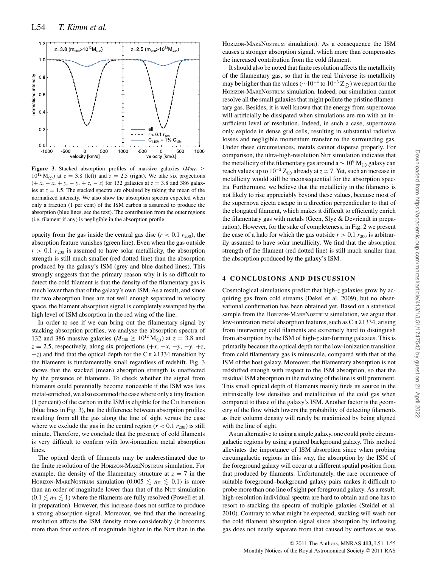

**Figure 3.** Stacked absorption profiles of massive galaxies ( $M_{200} \geq$  $10^{12}$  M<sub>(c)</sub>) at  $z = 3.8$  (left) and  $z = 2.5$  (right). We take six projections  $(+ x, - x, + y, - y, + z, - z)$  for 132 galaxies at  $z = 3.8$  and 386 galaxies at  $z = 1.5$ . The stacked spectra are obtained by taking the mean of the normalized intensity. We also show the absorption spectra expected when only a fraction (1 per cent) of the ISM carbon is assumed to produce the absorption (blue lines, see the text). The contribution from the outer regions (i.e. filament if any) is negligible in the absorption profile.

opacity from the gas inside the central gas disc ( $r < 0.1$   $r_{200}$ ), the absorption feature vanishes (green line). Even when the gas outside  $r > 0.1$   $r_{200}$  is assumed to have solar metallicity, the absorption strength is still much smaller (red dotted line) than the absorption produced by the galaxy's ISM (grey and blue dashed lines). This strongly suggests that the primary reason why it is so difficult to detect the cold filament is that the density of the filamentary gas is much lower than that of the galaxy's own ISM. As a result, and since the two absorption lines are not well enough separated in velocity space, the filament absorption signal is completely swamped by the high level of ISM absorption in the red wing of the line.

In order to see if we can bring out the filamentary signal by stacking absorption profiles, we analyse the absorption spectra of 132 and 386 massive galaxies ( $M_{200} \ge 10^{12}$  M<sub>(c)</sub>) at  $z = 3.8$  and  $z = 2.5$ , respectively, along six projections  $(+x, -x, +y, -y, +z,$  $-z$ ) and find that the optical depth for the C II  $\lambda$ 1334 transition by the filaments is fundamentally small regardless of redshift. Fig. 3 shows that the stacked (mean) absorption strength is unaffected by the presence of filaments. To check whether the signal from filaments could potentially become noticeable if the ISM was less metal-enriched, we also examined the case where only a tiny fraction (1 per cent) of the carbon in the ISM is eligible for the C II transition (blue lines in Fig. 3), but the difference between absorption profiles resulting from all the gas along the line of sight versus the case where we exclude the gas in the central region  $(r < 0.1 r_{200})$  is still minute. Therefore, we conclude that the presence of cold filaments is very difficult to confirm with low-ionization metal absorption **lines** 

The optical depth of filaments may be underestimated due to the finite resolution of the HORIZON-MARENOSTRUM simulation. For example, the density of the filamentary structure at  $z = 7$  in the HORIZON-MARENOSTRUM simulation (0.005  $\leq n_H \leq 0.1$ ) is more than an order of magnitude lower than that of the NUT simulation  $(0.1 \le n_{\rm H} \le 1)$  where the filaments are fully resolved (Powell et al. in preparation). However, this increase does not suffice to produce a strong absorption signal. Moreover, we find that the increasing resolution affects the ISM density more considerably (it becomes more than four orders of magnitude higher in the NUT than in the

HORIZON-MARENOSTRUM simulation). As a consequence the ISM causes a stronger absorption signal, which more than compensates the increased contribution from the cold filament.

It should also be noted that finite resolution affects the metallicity of the filamentary gas, so that in the real Universe its metallicity may be higher than the values ( $\sim$ 10<sup>-4</sup> to 10<sup>-3</sup> Z<sub>∩</sub>) we report for the HORIZON-MARENOSTRUM simulation. Indeed, our simulation cannot resolve all the small galaxies that might pollute the pristine filamentary gas. Besides, it is well known that the energy from supernovae will artificially be dissipated when simulations are run with an insufficient level of resolution. Indeed, in such a case, supernovae only explode in dense grid cells, resulting in substantial radiative losses and negligible momentum transfer to the surrounding gas. Under these circumstances, metals cannot disperse properly. For comparison, the ultra-high-resolution NUT simulation indicates that the metallicity of the filamentary gas around a  $\sim 10^9$  M<sub> $\odot$ </sub> galaxy can reach values up to  $10^{-2} Z_{\odot}$  already at  $z \simeq 7$ . Yet, such an increase in metallicity would still be inconsequential for the absorption spectra. Furthermore, we believe that the metallicity in the filaments is not likely to rise appreciably beyond these values, because most of the supernova ejecta escape in a direction perpendicular to that of the elongated filament, which makes it difficult to efficiently enrich the filamentary gas with metals (Geen, Slyz & Devriendt in preparation). However, for the sake of completeness, in Fig. 2 we present the case of a halo for which the gas outside  $r > 0.1 r_{200}$  is arbitrarily assumed to have solar metallicity. We find that the absorption strength of the filament (red dotted line) is still much smaller than the absorption produced by the galaxy's ISM.

#### **4 CONCLUSIONS AND DISCUSSION**

Cosmological simulations predict that high-*z* galaxies grow by acquiring gas from cold streams (Dekel et al. 2009), but no observational confirmation has been obtained yet. Based on a statistical sample from the HORIZON-MARENOSTRUM simulation, we argue that low-ionization metal absorption features, such as  $C \text{II} \lambda 1334$ , arising from intervening cold filaments are extremely hard to distinguish from absorption by the ISM of high-*z* star-forming galaxies. This is primarily because the optical depth for the low-ionization transition from cold filamentary gas is minuscule, compared with that of the ISM of the host galaxy. Moreover, the filamentary absorption is not redshifted enough with respect to the ISM absorption, so that the residual ISM absorption in the red wing of the line is still prominent. This small optical depth of filaments mainly finds its source in the intrinsically low densities and metallicities of the cold gas when compared to those of the galaxy's ISM. Another factor is the geometry of the flow which lowers the probability of detecting filaments as their column density will rarely be maximized by being aligned with the line of sight.

As an alternative to using a single galaxy, one could probe circumgalactic regions by using a paired background galaxy. This method alleviates the importance of ISM absorption since when probing circumgalactic regions in this way, the absorption by the ISM of the foreground galaxy will occur at a different spatial position from that produced by filaments. Unfortunately, the rare occurrence of suitable foreground–background galaxy pairs makes it difficult to probe more than one line of sight per foreground galaxy. As a result, high-resolution individual spectra are hard to obtain and one has to resort to stacking the spectra of multiple galaxies (Steidel et al. 2010). Contrary to what might be expected, stacking will wash out the cold filament absorption signal since absorption by inflowing gas does not neatly separate from that caused by outflows as was